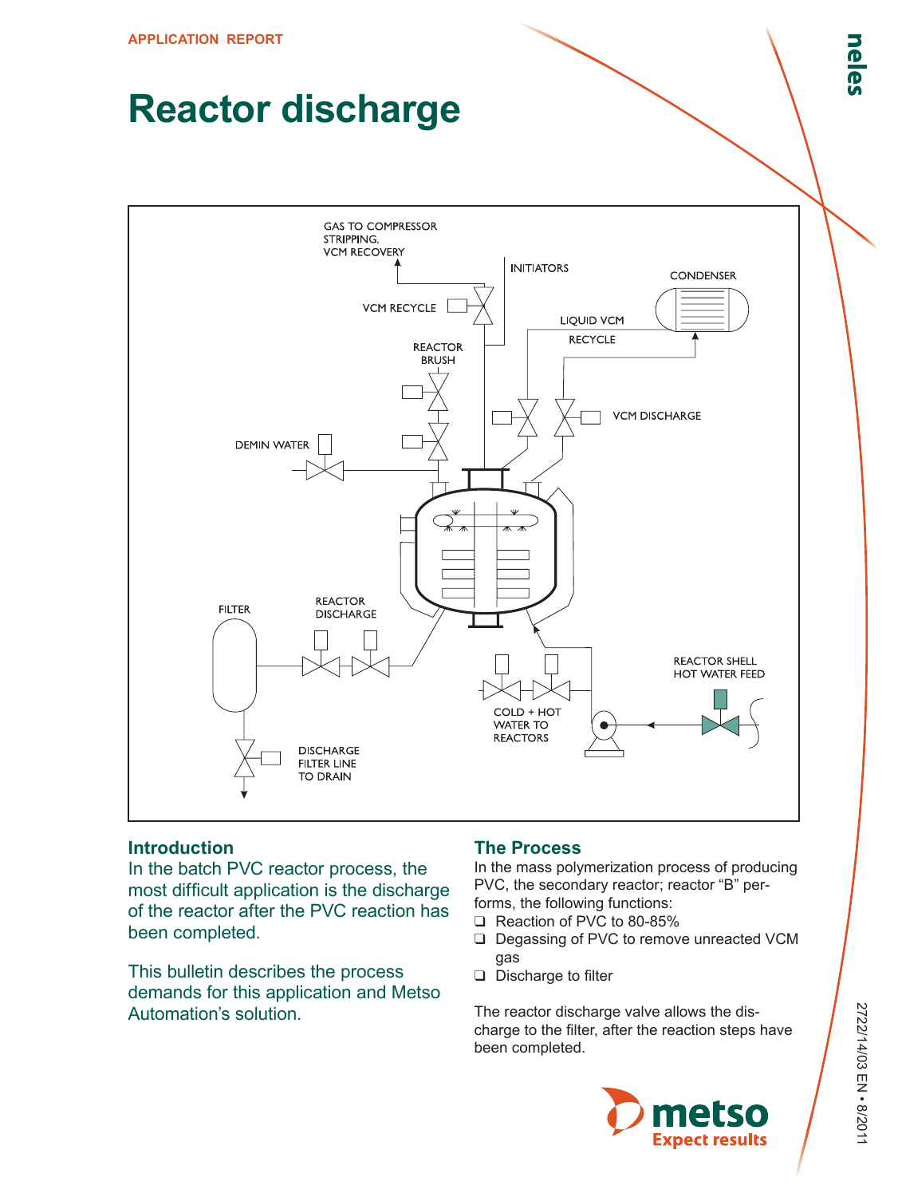# **Reactor discharge**



# **Introduction**

In the batch PVC reactor process, the most difficult application is the discharge of the reactor after the PVC reaction has been completed.

This bulletin describes the process demands for this application and Metso Automation's solution.

# **The Process**

In the mass polymerization process of producing PVC, the secondary reactor; reactor "B" performs, the following functions:

- ❑ Reaction of PVC to 80-85%
- ❑ Degassing of PVC to remove unreacted VCM gas
- ❑ Discharge to filter

The reactor discharge valve allows the discharge to the filter, after the reaction steps have been completed.